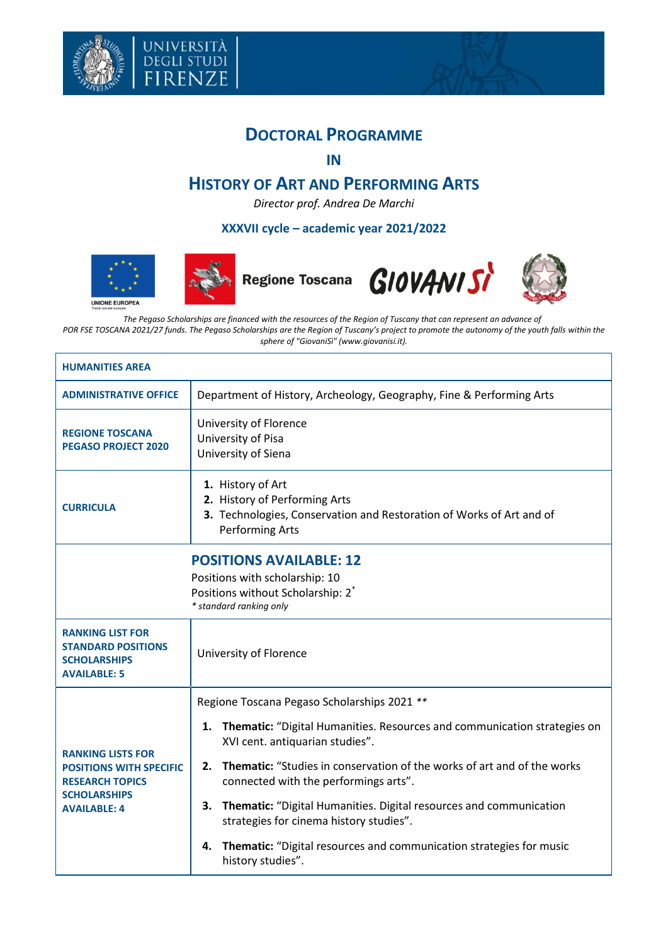



## **DOCTORAL PROGRAMME**

**IN**

## **HISTORY OF ART AND PERFORMING ARTS**

*Director prof. Andrea De Marchi*

## **XXXVII cycle – academic year 2021/2022**









٦

**UNIONE EUROPEA** 

*The Pegaso Scholarships are financed with the resources of the Region of Tuscany that can represent an advance of*  POR FSE TOSCANA 2021/27 funds. The Pegaso Scholarships are the Region of Tuscany's project to promote the autonomy of the youth falls within the *sphere of "GiovaniSì" (www.giovanisi.it).*

| <b>HUMANITIES AREA</b>                                                                                                             |                                                                                                                                                      |  |  |
|------------------------------------------------------------------------------------------------------------------------------------|------------------------------------------------------------------------------------------------------------------------------------------------------|--|--|
| <b>ADMINISTRATIVE OFFICE</b>                                                                                                       | Department of History, Archeology, Geography, Fine & Performing Arts                                                                                 |  |  |
| <b>REGIONE TOSCANA</b><br><b>PEGASO PROJECT 2020</b>                                                                               | University of Florence<br>University of Pisa<br>University of Siena                                                                                  |  |  |
| <b>CURRICULA</b>                                                                                                                   | 1. History of Art<br>2. History of Performing Arts<br>3. Technologies, Conservation and Restoration of Works of Art and of<br><b>Performing Arts</b> |  |  |
|                                                                                                                                    | <b>POSITIONS AVAILABLE: 12</b><br>Positions with scholarship: 10<br>Positions without Scholarship: 2 <sup>*</sup><br>* standard ranking only         |  |  |
| <b>RANKING LIST FOR</b><br><b>STANDARD POSITIONS</b><br><b>SCHOLARSHIPS</b><br><b>AVAILABLE: 5</b>                                 | University of Florence                                                                                                                               |  |  |
| <b>RANKING LISTS FOR</b><br><b>POSITIONS WITH SPECIFIC</b><br><b>RESEARCH TOPICS</b><br><b>SCHOLARSHIPS</b><br><b>AVAILABLE: 4</b> | Regione Toscana Pegaso Scholarships 2021 **                                                                                                          |  |  |
|                                                                                                                                    | Thematic: "Digital Humanities. Resources and communication strategies on<br>1.<br>XVI cent. antiquarian studies".                                    |  |  |
|                                                                                                                                    | <b>Thematic:</b> "Studies in conservation of the works of art and of the works<br>2.<br>connected with the performings arts".                        |  |  |
|                                                                                                                                    | Thematic: "Digital Humanities. Digital resources and communication<br>3.<br>strategies for cinema history studies".                                  |  |  |
|                                                                                                                                    | Thematic: "Digital resources and communication strategies for music<br>4.<br>history studies".                                                       |  |  |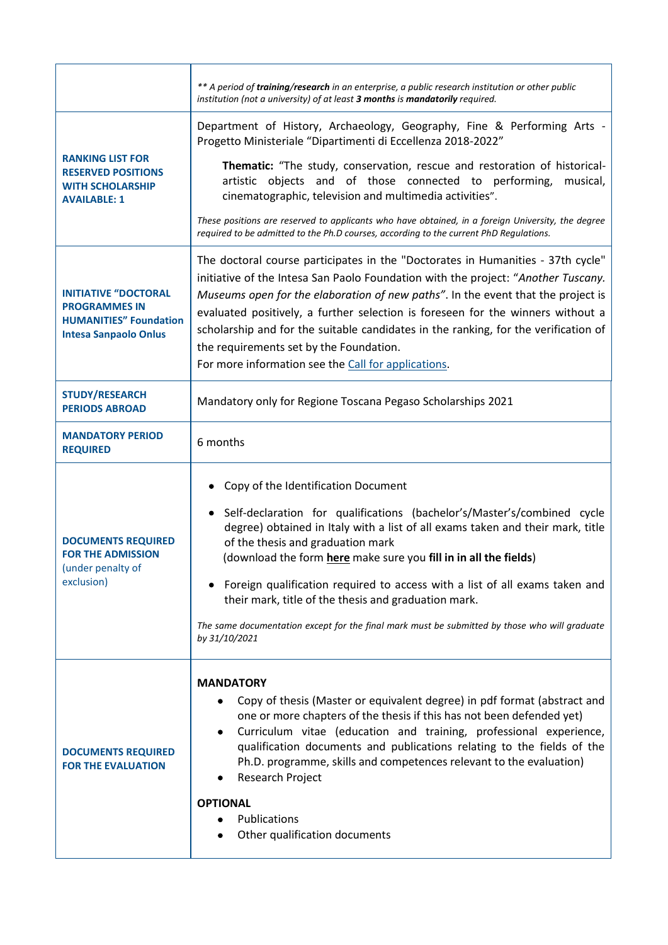|                                                                                                                      | ** A period of training/research in an enterprise, a public research institution or other public<br>institution (not a university) of at least 3 months is mandatorily required.                                                                                                                                                                                                                                                                                                                                                                                     |  |  |
|----------------------------------------------------------------------------------------------------------------------|----------------------------------------------------------------------------------------------------------------------------------------------------------------------------------------------------------------------------------------------------------------------------------------------------------------------------------------------------------------------------------------------------------------------------------------------------------------------------------------------------------------------------------------------------------------------|--|--|
|                                                                                                                      | Department of History, Archaeology, Geography, Fine & Performing Arts -<br>Progetto Ministeriale "Dipartimenti di Eccellenza 2018-2022"                                                                                                                                                                                                                                                                                                                                                                                                                              |  |  |
| <b>RANKING LIST FOR</b><br><b>RESERVED POSITIONS</b><br><b>WITH SCHOLARSHIP</b><br><b>AVAILABLE: 1</b>               | Thematic: "The study, conservation, rescue and restoration of historical-<br>artistic objects and of those connected to performing,<br>musical,<br>cinematographic, television and multimedia activities".                                                                                                                                                                                                                                                                                                                                                           |  |  |
|                                                                                                                      | These positions are reserved to applicants who have obtained, in a foreign University, the degree<br>required to be admitted to the Ph.D courses, according to the current PhD Regulations.                                                                                                                                                                                                                                                                                                                                                                          |  |  |
| <b>INITIATIVE "DOCTORAL</b><br><b>PROGRAMMES IN</b><br><b>HUMANITIES" Foundation</b><br><b>Intesa Sanpaolo Onlus</b> | The doctoral course participates in the "Doctorates in Humanities - 37th cycle"<br>initiative of the Intesa San Paolo Foundation with the project: "Another Tuscany.<br>Museums open for the elaboration of new paths". In the event that the project is<br>evaluated positively, a further selection is foreseen for the winners without a<br>scholarship and for the suitable candidates in the ranking, for the verification of<br>the requirements set by the Foundation.<br>For more information see the Call for applications.                                 |  |  |
| <b>STUDY/RESEARCH</b><br><b>PERIODS ABROAD</b>                                                                       | Mandatory only for Regione Toscana Pegaso Scholarships 2021                                                                                                                                                                                                                                                                                                                                                                                                                                                                                                          |  |  |
| <b>MANDATORY PERIOD</b><br><b>REQUIRED</b>                                                                           | 6 months                                                                                                                                                                                                                                                                                                                                                                                                                                                                                                                                                             |  |  |
|                                                                                                                      |                                                                                                                                                                                                                                                                                                                                                                                                                                                                                                                                                                      |  |  |
| <b>DOCUMENTS REQUIRED</b><br><b>FOR THE ADMISSION</b><br>(under penalty of<br>exclusion)                             | Copy of the Identification Document<br>• Self-declaration for qualifications (bachelor's/Master's/combined cycle<br>degree) obtained in Italy with a list of all exams taken and their mark, title<br>of the thesis and graduation mark<br>(download the form here make sure you fill in in all the fields)<br>Foreign qualification required to access with a list of all exams taken and<br>their mark, title of the thesis and graduation mark.<br>The same documentation except for the final mark must be submitted by those who will graduate<br>by 31/10/2021 |  |  |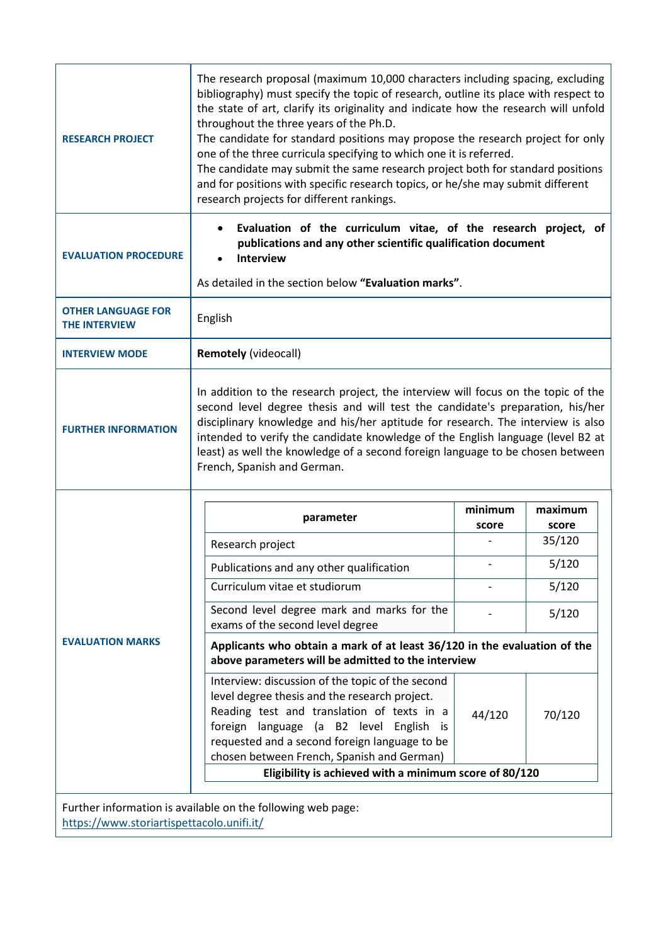| <b>RESEARCH PROJECT</b>                                                                                  | The research proposal (maximum 10,000 characters including spacing, excluding<br>bibliography) must specify the topic of research, outline its place with respect to<br>the state of art, clarify its originality and indicate how the research will unfold<br>throughout the three years of the Ph.D.<br>The candidate for standard positions may propose the research project for only<br>one of the three curricula specifying to which one it is referred.<br>The candidate may submit the same research project both for standard positions<br>and for positions with specific research topics, or he/she may submit different<br>research projects for different rankings. |                  |                  |  |
|----------------------------------------------------------------------------------------------------------|----------------------------------------------------------------------------------------------------------------------------------------------------------------------------------------------------------------------------------------------------------------------------------------------------------------------------------------------------------------------------------------------------------------------------------------------------------------------------------------------------------------------------------------------------------------------------------------------------------------------------------------------------------------------------------|------------------|------------------|--|
| <b>EVALUATION PROCEDURE</b>                                                                              | Evaluation of the curriculum vitae, of the research project, of<br>$\bullet$<br>publications and any other scientific qualification document<br>Interview<br>As detailed in the section below "Evaluation marks".                                                                                                                                                                                                                                                                                                                                                                                                                                                                |                  |                  |  |
| <b>OTHER LANGUAGE FOR</b><br><b>THE INTERVIEW</b>                                                        | English                                                                                                                                                                                                                                                                                                                                                                                                                                                                                                                                                                                                                                                                          |                  |                  |  |
| <b>INTERVIEW MODE</b>                                                                                    | <b>Remotely (videocall)</b>                                                                                                                                                                                                                                                                                                                                                                                                                                                                                                                                                                                                                                                      |                  |                  |  |
| <b>FURTHER INFORMATION</b>                                                                               | In addition to the research project, the interview will focus on the topic of the<br>second level degree thesis and will test the candidate's preparation, his/her<br>disciplinary knowledge and his/her aptitude for research. The interview is also<br>intended to verify the candidate knowledge of the English language (level B2 at<br>least) as well the knowledge of a second foreign language to be chosen between<br>French, Spanish and German.                                                                                                                                                                                                                        |                  |                  |  |
|                                                                                                          | parameter                                                                                                                                                                                                                                                                                                                                                                                                                                                                                                                                                                                                                                                                        | minimum<br>score | maximum<br>score |  |
|                                                                                                          | Research project                                                                                                                                                                                                                                                                                                                                                                                                                                                                                                                                                                                                                                                                 |                  | 35/120           |  |
| <b>EVALUATION MARKS</b>                                                                                  | Publications and any other qualification                                                                                                                                                                                                                                                                                                                                                                                                                                                                                                                                                                                                                                         |                  | 5/120            |  |
|                                                                                                          | Curriculum vitae et studiorum                                                                                                                                                                                                                                                                                                                                                                                                                                                                                                                                                                                                                                                    |                  | 5/120            |  |
|                                                                                                          | Second level degree mark and marks for the<br>exams of the second level degree                                                                                                                                                                                                                                                                                                                                                                                                                                                                                                                                                                                                   |                  | 5/120            |  |
|                                                                                                          | Applicants who obtain a mark of at least 36/120 in the evaluation of the<br>above parameters will be admitted to the interview                                                                                                                                                                                                                                                                                                                                                                                                                                                                                                                                                   |                  |                  |  |
|                                                                                                          | Interview: discussion of the topic of the second<br>level degree thesis and the research project.<br>Reading test and translation of texts in a<br>foreign language (a B2 level English is<br>requested and a second foreign language to be<br>chosen between French, Spanish and German)                                                                                                                                                                                                                                                                                                                                                                                        | 44/120           | 70/120           |  |
|                                                                                                          | Eligibility is achieved with a minimum score of 80/120                                                                                                                                                                                                                                                                                                                                                                                                                                                                                                                                                                                                                           |                  |                  |  |
| Further information is available on the following web page:<br>https://www.storiartispettacolo.unifi.it/ |                                                                                                                                                                                                                                                                                                                                                                                                                                                                                                                                                                                                                                                                                  |                  |                  |  |